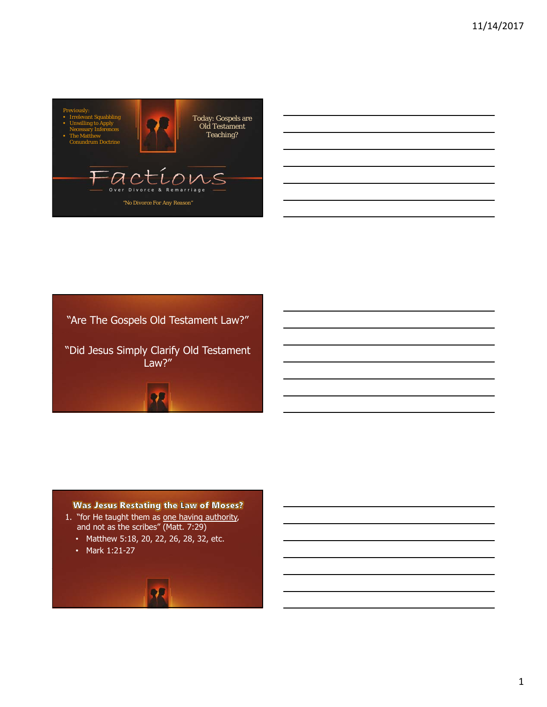





"Did Jesus Simply Clarify Old Testament Law?"

**Was Jesus Restating the Law of Moses?** 

- 1. "for He taught them as one having authority, and not as the scribes" (Matt. 7:29)
	- Matthew 5:18, 20, 22, 26, 28, 32, etc.
	- Mark 1:21-27

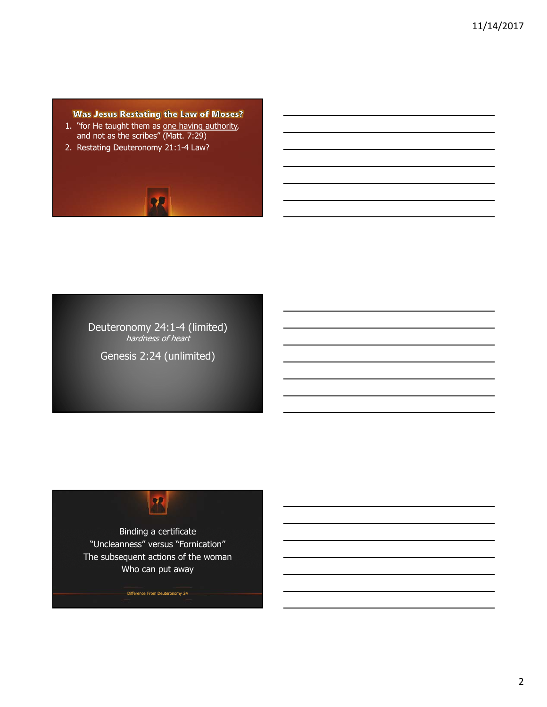**Was Jesus Restating the Law of Moses?** 

- 1. "for He taught them as one having authority, and not as the scribes" (Matt. 7:29)
- 2. Restating Deuteronomy 21:1-4 Law?



Deuteronomy 24:1-4 (limited) hardness of heart

Genesis 2:24 (unlimited)

## $\mathcal{R}$

Binding a certificate "Uncleanness" versus "Fornication" The subsequent actions of the woman Who can put away

Difference From Deuteronomy 24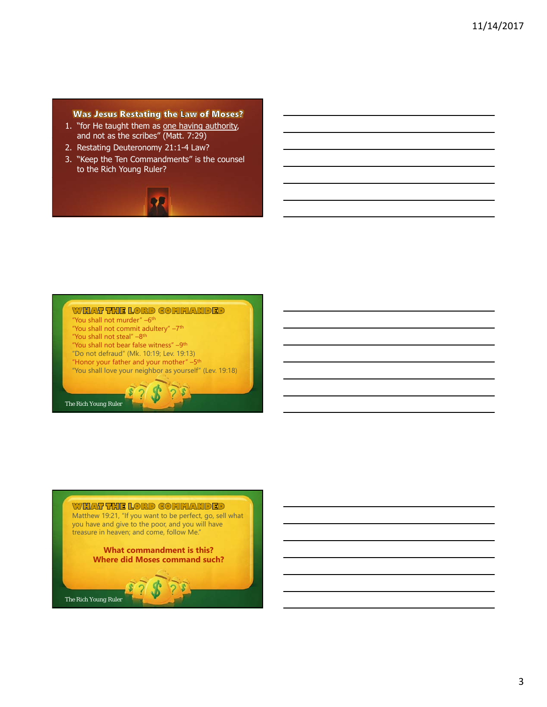## **Was Jesus Restating the Law of Moses?**

- 1. "for He taught them as one having authority, and not as the scribes" (Matt. 7:29)
- 2. Restating Deuteronomy 21:1-4 Law?
- 3. "Keep the Ten Commandments" is the counsel to the Rich Young Ruler?



## WHAT THE LORD COMMANDED

- "You shall not murder" –6<sup>th</sup> "You shall not commit adultery" -7<sup>th</sup>
- "You shall not steal" -8<sup>th</sup>
- "You shall not bear false witness" -9<sup>th</sup>
- "Do not defraud" (Mk. 10:19; Lev. 19:13)
- "Honor your father and your mother"  $-5$ <sup>th</sup>
- "You shall love your neighbor as yourself" (Lev. 19:18)